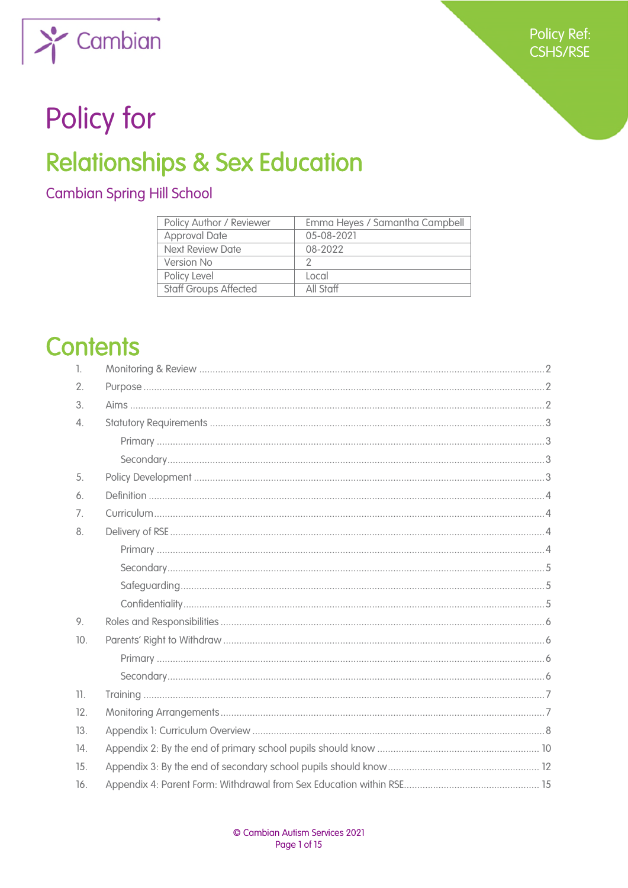

# Policy for

# **Relationships & Sex Education**

### **Cambian Spring Hill School**

| Policy Author / Reviewer     | Emma Heyes / Samantha Campbell |
|------------------------------|--------------------------------|
| <b>Approval Date</b>         | 05-08-2021                     |
| <b>Next Review Date</b>      | 08-2022                        |
| Version No                   |                                |
| Policy Level                 | Local                          |
| <b>Staff Groups Affected</b> | All Staff                      |

# **Contents**

| $\mathbb{L}$     |  |
|------------------|--|
| 2.               |  |
| 3.               |  |
| $\overline{4}$ . |  |
|                  |  |
|                  |  |
| 5.               |  |
| 6.               |  |
| 7.               |  |
| 8.               |  |
|                  |  |
|                  |  |
|                  |  |
|                  |  |
| 9.               |  |
| 10.              |  |
|                  |  |
|                  |  |
| 11.              |  |
| 12.              |  |
| 13.              |  |
| 14.              |  |
| 15.              |  |
| 16.              |  |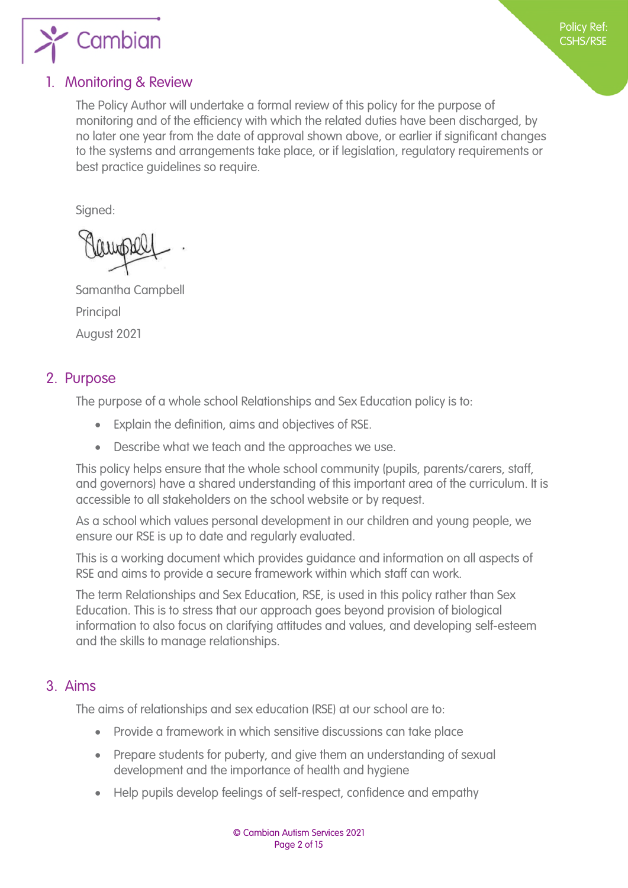

#### <span id="page-1-0"></span>1. Monitoring & Review

The Policy Author will undertake a formal review of this policy for the purpose of monitoring and of the efficiency with which the related duties have been discharged, by no later one year from the date of approval shown above, or earlier if significant changes to the systems and arrangements take place, or if legislation, regulatory requirements or best practice guidelines so require.

Signed:

Samantha Campbell Principal August 2021

#### <span id="page-1-1"></span>2. Purpose

The purpose of a whole school Relationships and Sex Education policy is to:

- Explain the definition, aims and objectives of RSE.
- Describe what we teach and the approaches we use.

This policy helps ensure that the whole school community (pupils, parents/carers, staff, and governors) have a shared understanding of this important area of the curriculum. It is accessible to all stakeholders on the school website or by request.

As a school which values personal development in our children and young people, we ensure our RSE is up to date and regularly evaluated.

This is a working document which provides guidance and information on all aspects of RSE and aims to provide a secure framework within which staff can work.

The term Relationships and Sex Education, RSE, is used in this policy rather than Sex Education. This is to stress that our approach goes beyond provision of biological information to also focus on clarifying attitudes and values, and developing self-esteem and the skills to manage relationships.

#### <span id="page-1-2"></span>3. Aims

The aims of relationships and sex education (RSE) at our school are to:

- Provide a framework in which sensitive discussions can take place
- Prepare students for puberty, and give them an understanding of sexual development and the importance of health and hygiene
- Help pupils develop feelings of self-respect, confidence and empathy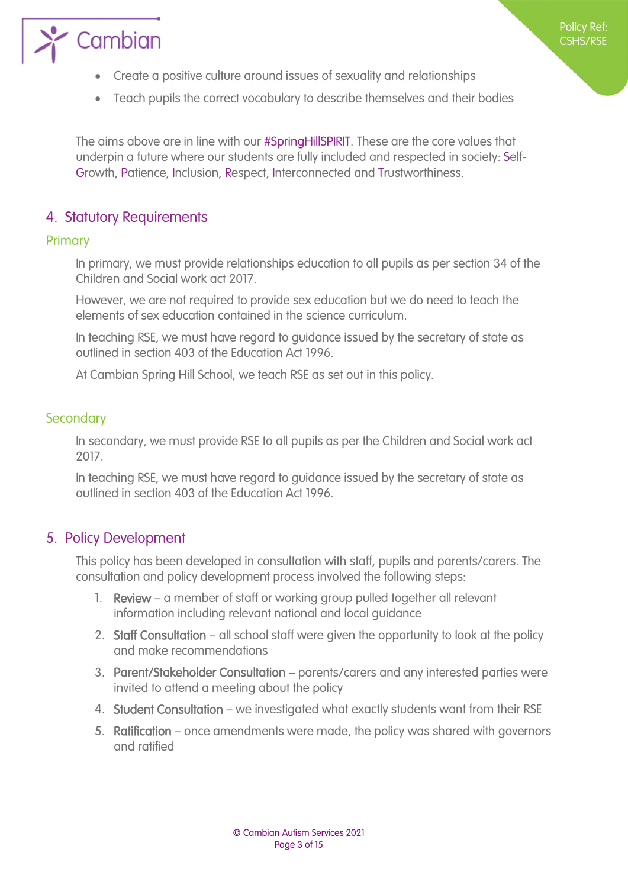

# $\sum$  Cambian

- Create a positive culture around issues of sexuality and relationships
- Teach pupils the correct vocabulary to describe themselves and their bodies

The aims above are in line with our #SpringHillSPIRIT. These are the core values that underpin a future where our students are fully included and respected in society: Self-Growth, Patience, Inclusion, Respect, Interconnected and Trustworthiness.

#### <span id="page-2-1"></span><span id="page-2-0"></span>4. Statutory Requirements

#### <span id="page-2-2"></span>**Primary**

In primary, we must provide relationships education to all pupils as per section 34 of the Children and Social work act 2017.

However, we are not required to provide sex education but we do need to teach the elements of sex education contained in the science curriculum.

In teaching RSE, we must have regard to guidance issued by the secretary of state as outlined in section 403 of the Education Act 1996.

At Cambian Spring Hill School, we teach RSE as set out in this policy.

#### <span id="page-2-3"></span>**Secondary**

In secondary, we must provide RSE to all pupils as per the Children and Social work act 2017.

In teaching RSE, we must have regard to guidance issued by the secretary of state as outlined in section 403 of the Education Act 1996.

#### <span id="page-2-4"></span>5. Policy Development

This policy has been developed in consultation with staff, pupils and parents/carers. The consultation and policy development process involved the following steps:

- 1. Review a member of staff or working group pulled together all relevant information including relevant national and local guidance
- 2. Staff Consultation all school staff were given the opportunity to look at the policy and make recommendations
- 3. Parent/Stakeholder Consultation parents/carers and any interested parties were invited to attend a meeting about the policy
- 4. Student Consultation we investigated what exactly students want from their RSE
- 5. Ratification once amendments were made, the policy was shared with governors and ratified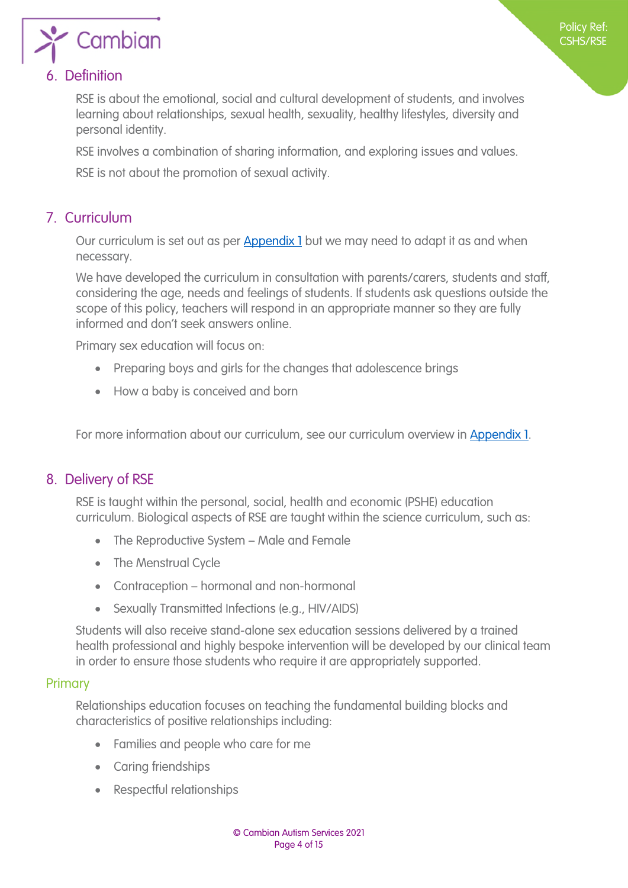

#### <span id="page-3-1"></span>6. Definition

<span id="page-3-0"></span>RSE is about the emotional, social and cultural development of students, and involves learning about relationships, sexual health, sexuality, healthy lifestyles, diversity and personal identity.

RSE involves a combination of sharing information, and exploring issues and values.

RSE is not about the promotion of sexual activity.

#### <span id="page-3-2"></span>7. Curriculum

Our curriculum is set out as per [Appendix 1](#page-7-1) but we may need to adapt it as and when necessary.

We have developed the curriculum in consultation with parents/carers, students and staff, considering the age, needs and feelings of students. If students ask questions outside the scope of this policy, teachers will respond in an appropriate manner so they are fully informed and don't seek answers online.

Primary sex education will focus on:

- Preparing boys and girls for the changes that adolescence brings
- How a baby is conceived and born

For more information about our curriculum, see our curriculum overview in [Appendix 1](#page-7-1).

#### <span id="page-3-3"></span>8. Delivery of RSE

RSE is taught within the personal, social, health and economic (PSHE) education curriculum. Biological aspects of RSE are taught within the science curriculum, such as:

- The Reproductive System Male and Female
- The Menstrual Cycle
- Contraception hormonal and non-hormonal
- Sexually Transmitted Infections (e.g., HIV/AIDS)

Students will also receive stand-alone sex education sessions delivered by a trained health professional and highly bespoke intervention will be developed by our clinical team in order to ensure those students who require it are appropriately supported.

#### <span id="page-3-4"></span>Primary

Relationships education focuses on teaching the fundamental building blocks and characteristics of positive relationships including:

- Families and people who care for me
- Caring friendships
- Respectful relationships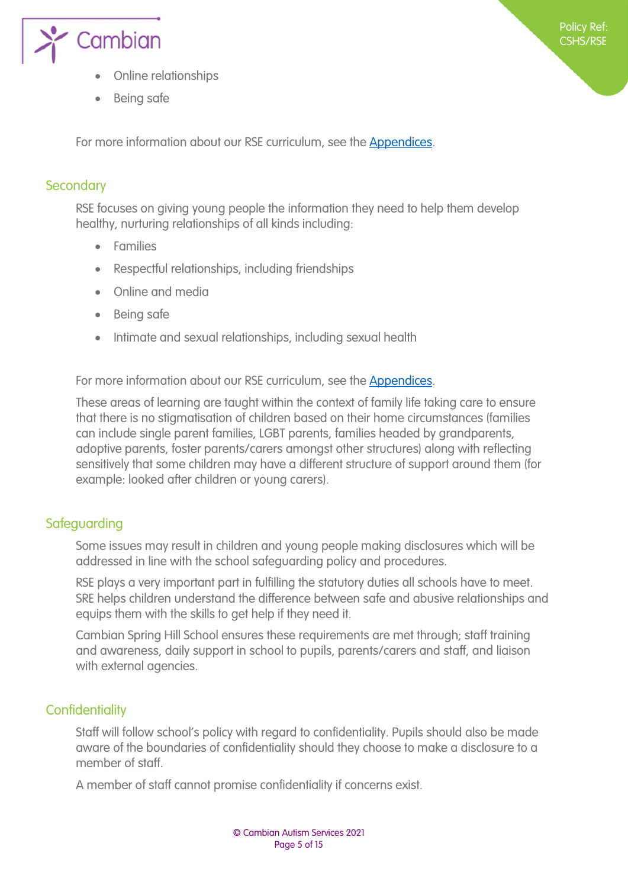

- Online relationships
- Being safe

For more information about our RSE curriculum, see the [Appendices.](#page-7-1)

#### <span id="page-4-1"></span>**Secondary**

<span id="page-4-0"></span>RSE focuses on giving young people the information they need to help them develop healthy, nurturing relationships of all kinds including:

- Families
- Respectful relationships, including friendships
- Online and media
- Being safe
- Intimate and sexual relationships, including sexual health

For more information about our RSE curriculum, see the [Appendices.](#page-7-1)

These areas of learning are taught within the context of family life taking care to ensure that there is no stigmatisation of children based on their home circumstances (families can include single parent families, LGBT parents, families headed by grandparents, adoptive parents, foster parents/carers amongst other structures) along with reflecting sensitively that some children may have a different structure of support around them (for example: looked after children or young carers).

#### <span id="page-4-2"></span>Safeguarding

Some issues may result in children and young people making disclosures which will be addressed in line with the school safeguarding policy and procedures.

RSE plays a very important part in fulfilling the statutory duties all schools have to meet. SRE helps children understand the difference between safe and abusive relationships and equips them with the skills to get help if they need it.

Cambian Spring Hill School ensures these requirements are met through; staff training and awareness, daily support in school to pupils, parents/carers and staff, and liaison with external agencies.

#### <span id="page-4-3"></span>**Confidentiality**

Staff will follow school's policy with regard to confidentiality. Pupils should also be made aware of the boundaries of confidentiality should they choose to make a disclosure to a member of staff.

A member of staff cannot promise confidentiality if concerns exist.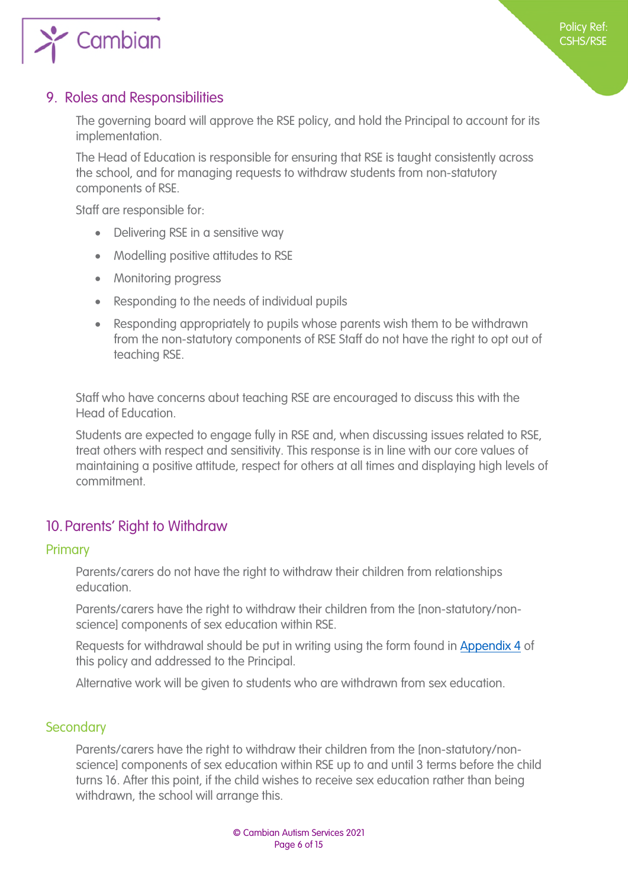

#### <span id="page-5-0"></span>9. Roles and Responsibilities

The governing board will approve the RSE policy, and hold the Principal to account for its implementation.

The Head of Education is responsible for ensuring that RSE is taught consistently across the school, and for managing requests to withdraw students from non-statutory components of RSE.

Staff are responsible for:

- Delivering RSE in a sensitive way
- Modelling positive attitudes to RSE
- Monitoring progress
- Responding to the needs of individual pupils
- Responding appropriately to pupils whose parents wish them to be withdrawn from the non-statutory components of RSE Staff do not have the right to opt out of teaching RSE.

Staff who have concerns about teaching RSE are encouraged to discuss this with the Head of Education.

Students are expected to engage fully in RSE and, when discussing issues related to RSE, treat others with respect and sensitivity. This response is in line with our core values of maintaining a positive attitude, respect for others at all times and displaying high levels of commitment.

#### <span id="page-5-1"></span>10. Parents' Right to Withdraw

#### <span id="page-5-2"></span>Primary

Parents/carers do not have the right to withdraw their children from relationships education.

Parents/carers have the right to withdraw their children from the [non-statutory/nonscience] components of sex education within RSE.

Requests for withdrawal should be put in writing using the form found in [Appendix 4](#page-14-1) of this policy and addressed to the Principal.

Alternative work will be given to students who are withdrawn from sex education.

#### <span id="page-5-3"></span>**Secondary**

Parents/carers have the right to withdraw their children from the [non-statutory/nonscience] components of sex education within RSE up to and until 3 terms before the child turns 16. After this point, if the child wishes to receive sex education rather than being withdrawn, the school will arrange this.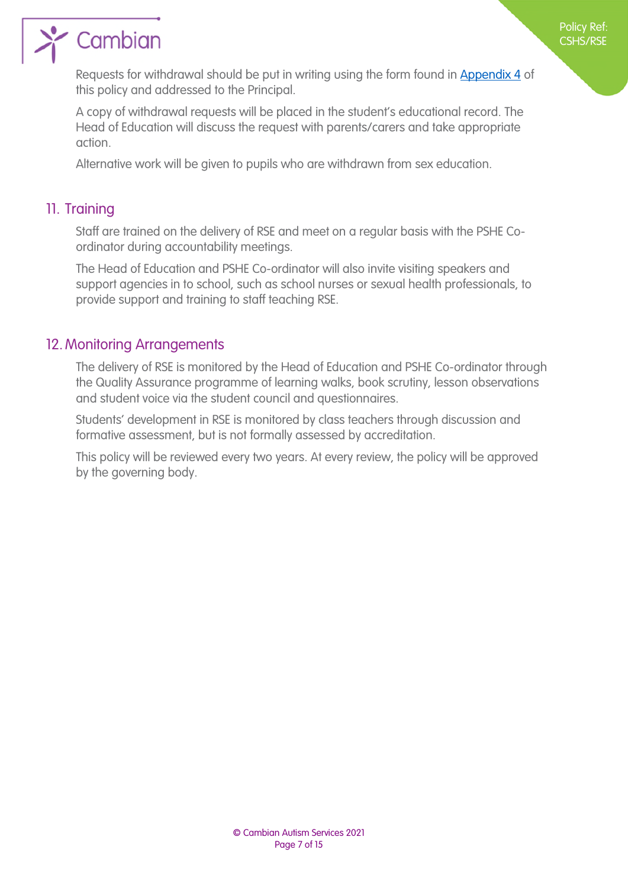

Requests for withdrawal should be put in writing using the form found in [Appendix 4](#page-14-1) of this policy and addressed to the Principal.

A copy of withdrawal requests will be placed in the student's educational record. The Head of Education will discuss the request with parents/carers and take appropriate action.

Alternative work will be given to pupils who are withdrawn from sex education.

#### 11. Training

<span id="page-6-0"></span>Staff are trained on the delivery of RSE and meet on a regular basis with the PSHE Coordinator during accountability meetings.

The Head of Education and PSHE Co-ordinator will also invite visiting speakers and support agencies in to school, such as school nurses or sexual health professionals, to provide support and training to staff teaching RSE.

#### 12. Monitoring Arrangements

<span id="page-6-1"></span>The delivery of RSE is monitored by the Head of Education and PSHE Co-ordinator through the Quality Assurance programme of learning walks, book scrutiny, lesson observations and student voice via the student council and questionnaires.

Students' development in RSE is monitored by class teachers through discussion and formative assessment, but is not formally assessed by accreditation.

This policy will be reviewed every two years. At every review, the policy will be approved by the governing body.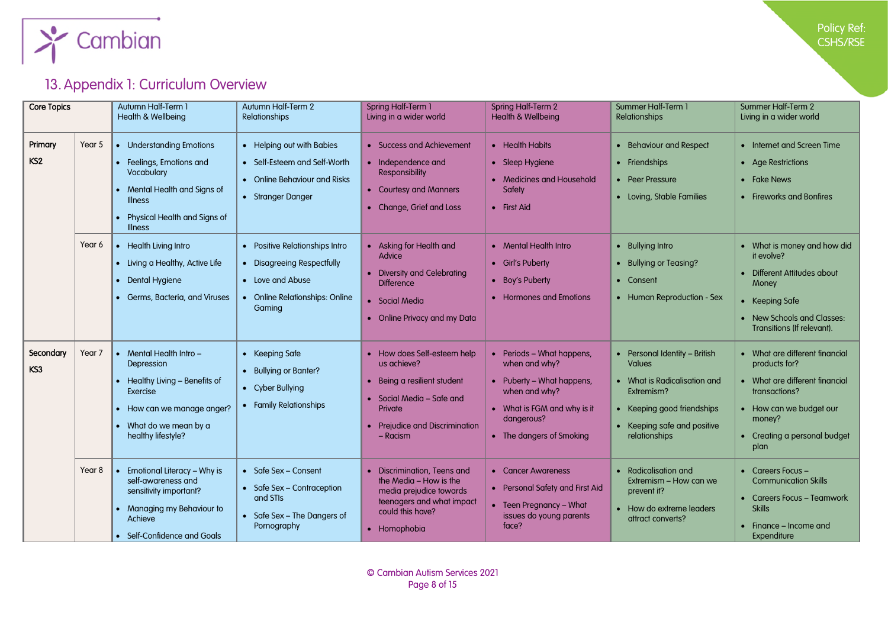

#### Policy Ref: CSHS/RSE

## 13.Appendix 1: Curriculum Overview

<span id="page-7-1"></span><span id="page-7-0"></span>

| <b>Core Topics</b>           |        | Autumn Half-Term 1<br>Health & Wellbeing                                                                                                                           | <b>Autumn Half-Term 2</b><br><b>Relationships</b>                                                                               | <b>Spring Half-Term 1</b><br>Living in a wider world                                                                                                              | <b>Spring Half-Term 2</b><br><b>Health &amp; Wellbeing</b>                                                                                                      | Summer Half-Term 1<br><b>Relationships</b>                                                                                                                               | Summer Half-Term 2<br>Living in a wider world                                                                                                                                   |
|------------------------------|--------|--------------------------------------------------------------------------------------------------------------------------------------------------------------------|---------------------------------------------------------------------------------------------------------------------------------|-------------------------------------------------------------------------------------------------------------------------------------------------------------------|-----------------------------------------------------------------------------------------------------------------------------------------------------------------|--------------------------------------------------------------------------------------------------------------------------------------------------------------------------|---------------------------------------------------------------------------------------------------------------------------------------------------------------------------------|
| Primary<br>KS <sub>2</sub>   | Year 5 | • Understanding Emotions<br>Feelings, Emotions and<br>Vocabulary<br>Mental Health and Signs of<br><b>Illness</b><br>Physical Health and Signs of<br><b>Illness</b> | • Helping out with Babies<br>• Self-Esteem and Self-Worth<br>• Online Behaviour and Risks<br>• Stranger Danger                  | • Success and Achievement<br>• Independence and<br>Responsibility<br>• Courtesy and Manners<br>• Change, Grief and Loss                                           | • Health Habits<br>• Sleep Hygiene<br>• Medicines and Household<br>Safety<br>• First Aid                                                                        | • Behaviour and Respect<br>• Friendships<br>• Peer Pressure<br>• Loving, Stable Families                                                                                 | • Internet and Screen Time<br>• Age Restrictions<br>• Fake News<br>• Fireworks and Bonfires                                                                                     |
|                              | Year 6 | <b>Health Living Intro</b><br>Living a Healthy, Active Life<br>Dental Hygiene<br>Germs, Bacteria, and Viruses                                                      | Positive Relationships Intro<br><b>Disagreeing Respectfully</b><br>• Love and Abuse<br>• Online Relationships: Online<br>Gaming | • Asking for Health and<br>Advice<br>• Diversity and Celebrating<br><b>Difference</b><br>• Social Media<br>• Online Privacy and my Data                           | • Mental Health Intro<br>• Girl's Puberty<br>• Boy's Puberty<br>• Hormones and Emotions                                                                         | • Bullying Intro<br>• Bullying or Teasing?<br>• Consent<br>• Human Reproduction - Sex                                                                                    | • What is money and how did<br>it evolve?<br>Different Attitudes about<br>Money<br>• Keeping Safe<br>• New Schools and Classes:<br>Transitions (If relevant).                   |
| Secondary<br>KS <sub>3</sub> | Year 7 | Mental Health Intro -<br>Depression<br>Healthy Living - Benefits of<br>Exercise<br>How can we manage anger?<br>What do we mean by a<br>healthy lifestyle?          | • Keeping Safe<br>• Bullying or Banter?<br>• Cyber Bullying<br>• Family Relationships                                           | • How does Self-esteem help<br>us achieve?<br>• Being a resilient student<br>• Social Media - Safe and<br>Private<br>• Prejudice and Discrimination<br>$-$ Racism | • Periods - What happens,<br>when and why?<br>• Puberty - What happens,<br>when and why?<br>What is FGM and why is it<br>dangerous?<br>• The dangers of Smoking | • Personal Identity - British<br><b>Values</b><br>• What is Radicalisation and<br>Extremism?<br>Keeping good friendships<br>• Keeping safe and positive<br>relationships | • What are different financial<br>products for?<br>• What are different financial<br>transactions?<br>• How can we budget our<br>money?<br>• Creating a personal budget<br>plan |
|                              | Year 8 | Emotional Literacy - Why is<br>self-awareness and<br>sensitivity important?<br>Managing my Behaviour to<br>Achieve<br>• Self-Confidence and Goals                  | • Safe Sex - Consent<br>• Safe Sex - Contraception<br>and STIs<br>• Safe Sex - The Dangers of<br>Pornography                    | • Discrimination, Teens and<br>the Media - How is the<br>media prejudice towards<br>teenagers and what impact<br>could this have?<br>• Homophobia                 | • Cancer Awareness<br>• Personal Safety and First Aid<br>• Teen Pregnancy - What<br>issues do young parents<br>face?                                            | • Radicalisation and<br>Extremism - How can we<br>prevent it?<br>• How do extreme leaders<br>attract converts?                                                           | • Careers Focus $-$<br><b>Communication Skills</b><br>• Careers Focus - Teamwork<br><b>Skills</b><br>Finance – Income and<br>Expenditure                                        |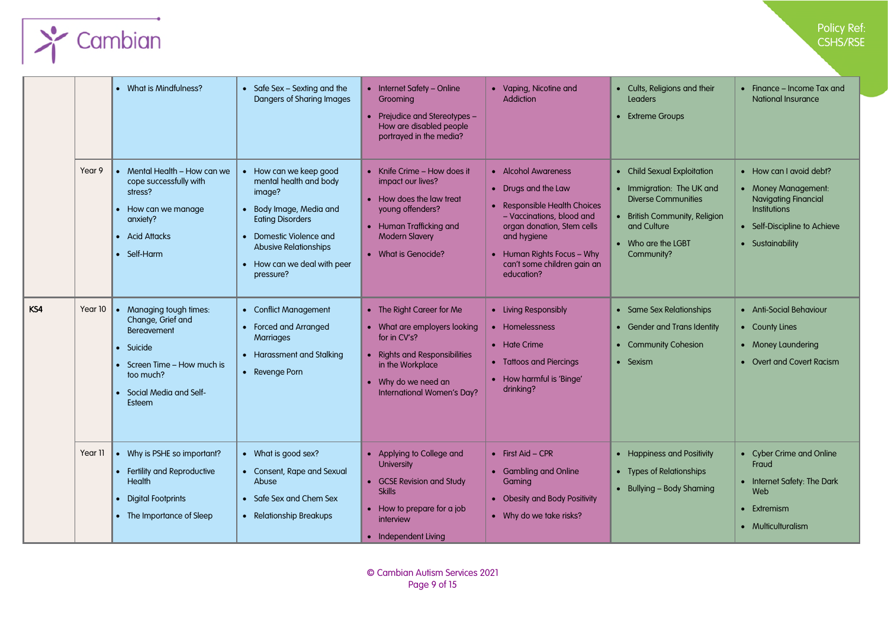

#### Policy Ref: CSHS/RSE

|     |         | What is Mindfulness?                                                                                                                                      | • Safe Sex - Sexting and the<br>Dangers of Sharing Images                                                                                                                                                             | • Internet Safety - Online<br>Grooming<br>• Prejudice and Stereotypes -<br>How are disabled people<br>portrayed in the media?                                                       | • Vaping, Nicotine and<br><b>Addiction</b>                                                                                                                                                                                      | • Cults, Religions and their<br>Leaders<br>• Extreme Groups                                                                                                                | $\bullet$ Finance – Income Tax and<br><b>National Insurance</b>                                                                                   |
|-----|---------|-----------------------------------------------------------------------------------------------------------------------------------------------------------|-----------------------------------------------------------------------------------------------------------------------------------------------------------------------------------------------------------------------|-------------------------------------------------------------------------------------------------------------------------------------------------------------------------------------|---------------------------------------------------------------------------------------------------------------------------------------------------------------------------------------------------------------------------------|----------------------------------------------------------------------------------------------------------------------------------------------------------------------------|---------------------------------------------------------------------------------------------------------------------------------------------------|
|     | Year 9  | • Mental Health - How can we<br>cope successfully with<br>stress?<br>How can we manage<br>anxiety?<br>• Acid Attacks<br>Self-Harm                         | How can we keep good<br>mental health and body<br>image?<br>• Body Image, Media and<br><b>Eating Disorders</b><br>• Domestic Violence and<br><b>Abusive Relationships</b><br>• How can we deal with peer<br>pressure? | • Knife Crime - How does it<br>impact our lives?<br>• How does the law treat<br>young offenders?<br>• Human Trafficking and<br><b>Modern Slavery</b><br>• What is Genocide?         | • Alcohol Awareness<br>• Drugs and the Law<br>• Responsible Health Choices<br>- Vaccinations, blood and<br>organ donation, Stem cells<br>and hygiene<br>• Human Rights Focus - Why<br>can't some children gain an<br>education? | • Child Sexual Exploitation<br>• Immigration: The UK and<br><b>Diverse Communities</b><br>• British Community, Religion<br>and Culture<br>• Who are the LGBT<br>Community? | • How can I avoid debt?<br>• Money Management:<br><b>Navigating Financial</b><br>Institutions<br>• Self-Discipline to Achieve<br>• Sustainability |
| KS4 | Year 10 | Managing tough times:<br>Change, Grief and<br><b>Bereavement</b><br>Suicide<br>Screen Time - How much is<br>too much?<br>Social Media and Self-<br>Esteem | • Conflict Management<br>• Forced and Arranged<br><b>Marriages</b><br>• Harassment and Stalking<br>• Revenge Porn                                                                                                     | • The Right Career for Me<br>• What are employers looking<br>for in CV's?<br>• Rights and Responsibilities<br>in the Workplace<br>• Why do we need an<br>International Women's Day? | • Living Responsibly<br>• Homelessness<br>• Hate Crime<br>• Tattoos and Piercings<br>• How harmful is 'Binge'<br>drinking?                                                                                                      | • Same Sex Relationships<br>• Gender and Trans Identity<br>• Community Cohesion<br>• Sexism                                                                                | • Anti-Social Behaviour<br>• County Lines<br>• Money Laundering<br>• Overt and Covert Racism                                                      |
|     | Year 11 | Why is PSHE so important?<br>• Fertility and Reproductive<br><b>Health</b><br><b>Digital Footprints</b><br>• The Importance of Sleep                      | • What is good sex?<br>• Consent, Rape and Sexual<br>Abuse<br>• Safe Sex and Chem Sex<br>• Relationship Breakups                                                                                                      | • Applying to College and<br><b>University</b><br>• GCSE Revision and Study<br><b>Skills</b><br>• How to prepare for a job<br>interview<br>• Independent Living                     | $\bullet$ First Aid - CPR<br>• Gambling and Online<br>Gaming<br>• Obesity and Body Positivity<br>• Why do we take risks?                                                                                                        | • Happiness and Positivity<br>• Types of Relationships<br>$\bullet$ Bullying – Body Shaming                                                                                | • Cyber Crime and Online<br>Fraud<br>• Internet Safety: The Dark<br>Web<br>• Extremism<br>• Multiculturalism                                      |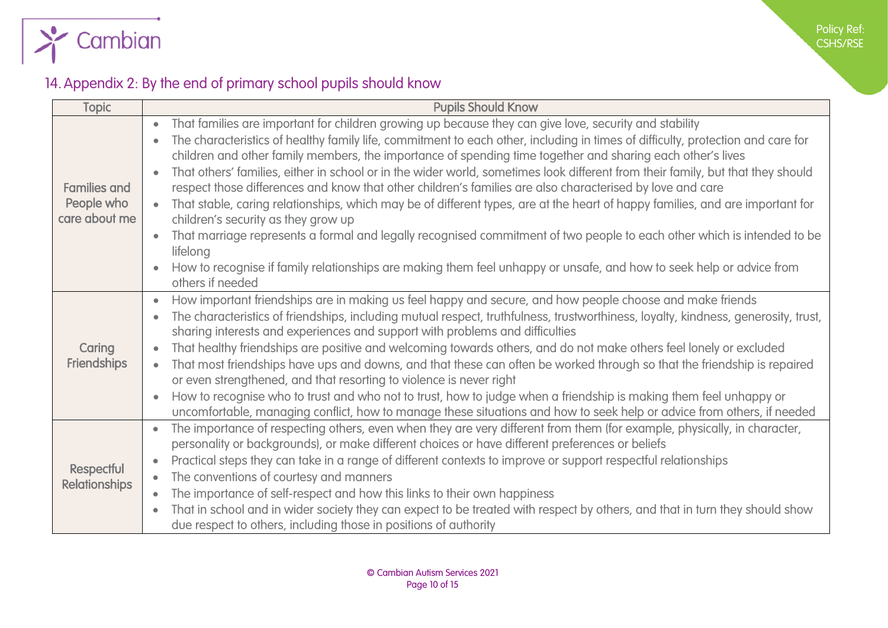

# 14.Appendix 2: By the end of primary school pupils should know

<span id="page-9-0"></span>

| <b>Topic</b>                | <b>Pupils Should Know</b>                                                                                                                        |
|-----------------------------|--------------------------------------------------------------------------------------------------------------------------------------------------|
|                             | That families are important for children growing up because they can give love, security and stability                                           |
|                             | The characteristics of healthy family life, commitment to each other, including in times of difficulty, protection and care for                  |
|                             | children and other family members, the importance of spending time together and sharing each other's lives                                       |
|                             | That others' families, either in school or in the wider world, sometimes look different from their family, but that they should                  |
| <b>Families and</b>         | respect those differences and know that other children's families are also characterised by love and care                                        |
| People who<br>care about me | That stable, caring relationships, which may be of different types, are at the heart of happy families, and are important for                    |
|                             | children's security as they grow up                                                                                                              |
|                             | That marriage represents a formal and legally recognised commitment of two people to each other which is intended to be<br>$\bullet$<br>lifelong |
|                             | How to recognise if family relationships are making them feel unhappy or unsafe, and how to seek help or advice from                             |
|                             | others if needed                                                                                                                                 |
|                             | How important friendships are in making us feel happy and secure, and how people choose and make friends                                         |
|                             | The characteristics of friendships, including mutual respect, truthfulness, trustworthiness, loyalty, kindness, generosity, trust,               |
|                             | sharing interests and experiences and support with problems and difficulties                                                                     |
| Caring                      | That healthy friendships are positive and welcoming towards others, and do not make others feel lonely or excluded                               |
| <b>Friendships</b>          | That most friendships have ups and downs, and that these can often be worked through so that the friendship is repaired<br>$\bullet$             |
|                             | or even strengthened, and that resorting to violence is never right                                                                              |
|                             | How to recognise who to trust and who not to trust, how to judge when a friendship is making them feel unhappy or                                |
|                             | uncomfortable, managing conflict, how to manage these situations and how to seek help or advice from others, if needed                           |
|                             | The importance of respecting others, even when they are very different from them (for example, physically, in character,                         |
|                             | personality or backgrounds), or make different choices or have different preferences or beliefs                                                  |
| Respectful                  | Practical steps they can take in a range of different contexts to improve or support respectful relationships                                    |
| <b>Relationships</b>        | The conventions of courtesy and manners                                                                                                          |
|                             | The importance of self-respect and how this links to their own happiness<br>$\bullet$                                                            |
|                             | That in school and in wider society they can expect to be treated with respect by others, and that in turn they should show                      |
|                             | due respect to others, including those in positions of authority                                                                                 |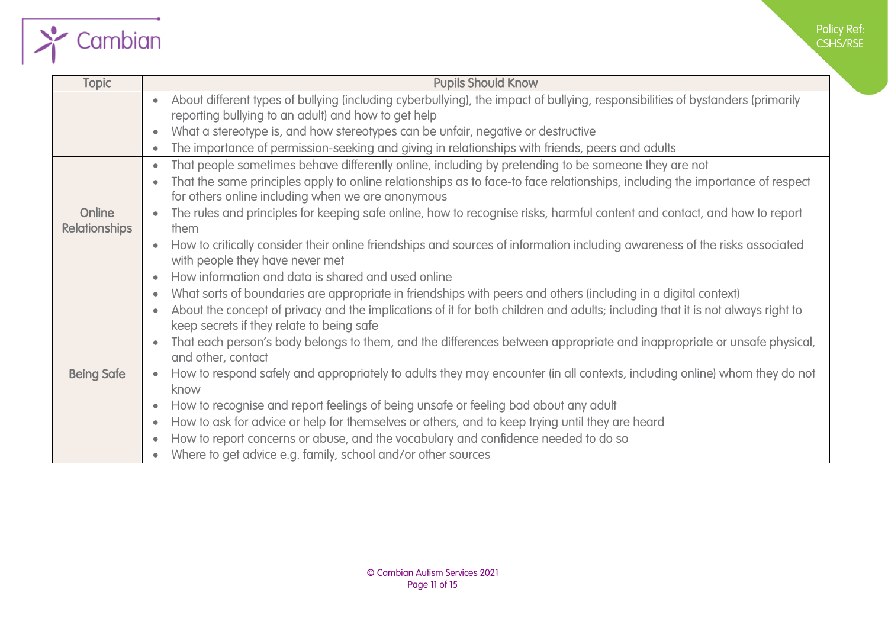

| <b>Topic</b>         | <b>Pupils Should Know</b>                                                                                                                   |  |  |
|----------------------|---------------------------------------------------------------------------------------------------------------------------------------------|--|--|
|                      | About different types of bullying (including cyberbullying), the impact of bullying, responsibilities of bystanders (primarily<br>$\bullet$ |  |  |
|                      | reporting bullying to an adult) and how to get help                                                                                         |  |  |
|                      | What a stereotype is, and how stereotypes can be unfair, negative or destructive<br>$\bullet$                                               |  |  |
|                      | The importance of permission-seeking and giving in relationships with friends, peers and adults                                             |  |  |
|                      | That people sometimes behave differently online, including by pretending to be someone they are not                                         |  |  |
|                      | That the same principles apply to online relationships as to face-to face relationships, including the importance of respect                |  |  |
|                      | for others online including when we are anonymous                                                                                           |  |  |
| Online               | The rules and principles for keeping safe online, how to recognise risks, harmful content and contact, and how to report                    |  |  |
| <b>Relationships</b> | them                                                                                                                                        |  |  |
|                      | How to critically consider their online friendships and sources of information including awareness of the risks associated                  |  |  |
|                      | with people they have never met                                                                                                             |  |  |
|                      | How information and data is shared and used online<br>$\bullet$                                                                             |  |  |
|                      | What sorts of boundaries are appropriate in friendships with peers and others (including in a digital context)<br>$\bullet$                 |  |  |
|                      | About the concept of privacy and the implications of it for both children and adults; including that it is not always right to<br>$\bullet$ |  |  |
|                      | keep secrets if they relate to being safe                                                                                                   |  |  |
|                      | That each person's body belongs to them, and the differences between appropriate and inappropriate or unsafe physical,                      |  |  |
|                      | and other, contact                                                                                                                          |  |  |
| <b>Being Safe</b>    | How to respond safely and appropriately to adults they may encounter (in all contexts, including online) whom they do not                   |  |  |
|                      | know                                                                                                                                        |  |  |
|                      | How to recognise and report feelings of being unsafe or feeling bad about any adult<br>$\bullet$                                            |  |  |
|                      | How to ask for advice or help for themselves or others, and to keep trying until they are heard<br>$\bullet$                                |  |  |
|                      | How to report concerns or abuse, and the vocabulary and confidence needed to do so<br>$\bullet$                                             |  |  |
|                      | Where to get advice e.g. family, school and/or other sources                                                                                |  |  |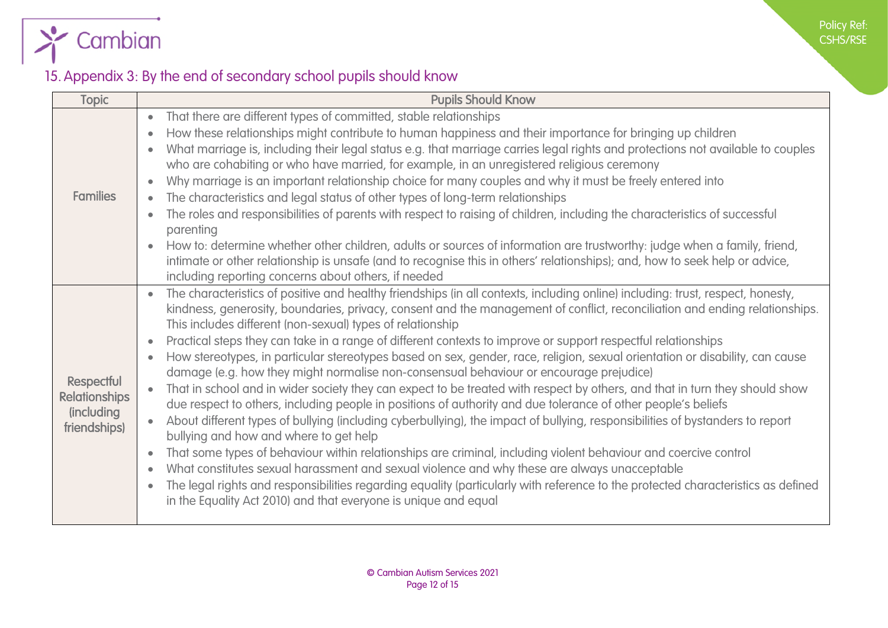

## 15.Appendix 3: By the end of secondary school pupils should know

<span id="page-11-0"></span>

| <b>Topic</b>                                                                    | <b>Pupils Should Know</b>                                                                                                                                                                                                                                                                                                                                                                                                                                                                                                                                                                                                                                                                                                                                                                                                                                                                                                                                                                                                                                                                                                                                                                                                                                                                                                                                                                                                                                                                                                                                                                                                 |
|---------------------------------------------------------------------------------|---------------------------------------------------------------------------------------------------------------------------------------------------------------------------------------------------------------------------------------------------------------------------------------------------------------------------------------------------------------------------------------------------------------------------------------------------------------------------------------------------------------------------------------------------------------------------------------------------------------------------------------------------------------------------------------------------------------------------------------------------------------------------------------------------------------------------------------------------------------------------------------------------------------------------------------------------------------------------------------------------------------------------------------------------------------------------------------------------------------------------------------------------------------------------------------------------------------------------------------------------------------------------------------------------------------------------------------------------------------------------------------------------------------------------------------------------------------------------------------------------------------------------------------------------------------------------------------------------------------------------|
| <b>Families</b>                                                                 | That there are different types of committed, stable relationships<br>$\bullet$<br>How these relationships might contribute to human happiness and their importance for bringing up children<br>$\bullet$<br>What marriage is, including their legal status e.g. that marriage carries legal rights and protections not available to couples<br>$\bullet$<br>who are cohabiting or who have married, for example, in an unregistered religious ceremony<br>Why marriage is an important relationship choice for many couples and why it must be freely entered into<br>$\bullet$<br>The characteristics and legal status of other types of long-term relationships<br>$\bullet$<br>The roles and responsibilities of parents with respect to raising of children, including the characteristics of successful<br>$\bullet$<br>parenting<br>How to: determine whether other children, adults or sources of information are trustworthy: judge when a family, friend,<br>intimate or other relationship is unsafe (and to recognise this in others' relationships); and, how to seek help or advice,<br>including reporting concerns about others, if needed                                                                                                                                                                                                                                                                                                                                                                                                                                                                 |
| <b>Respectful</b><br><b>Relationships</b><br><i>(including)</i><br>friendships) | The characteristics of positive and healthy friendships (in all contexts, including online) including: trust, respect, honesty,<br>$\bullet$<br>kindness, generosity, boundaries, privacy, consent and the management of conflict, reconciliation and ending relationships.<br>This includes different (non-sexual) types of relationship<br>Practical steps they can take in a range of different contexts to improve or support respectful relationships<br>$\bullet$<br>How stereotypes, in particular stereotypes based on sex, gender, race, religion, sexual orientation or disability, can cause<br>$\bullet$<br>damage (e.g. how they might normalise non-consensual behaviour or encourage prejudice)<br>That in school and in wider society they can expect to be treated with respect by others, and that in turn they should show<br>$\bullet$<br>due respect to others, including people in positions of authority and due tolerance of other people's beliefs<br>About different types of bullying (including cyberbullying), the impact of bullying, responsibilities of bystanders to report<br>bullying and how and where to get help<br>That some types of behaviour within relationships are criminal, including violent behaviour and coercive control<br>$\bullet$<br>What constitutes sexual harassment and sexual violence and why these are always unacceptable<br>$\bullet$<br>The legal rights and responsibilities regarding equality (particularly with reference to the protected characteristics as defined<br>$\bullet$<br>in the Equality Act 2010) and that everyone is unique and equal |

Policy Ref: CSHS/RSE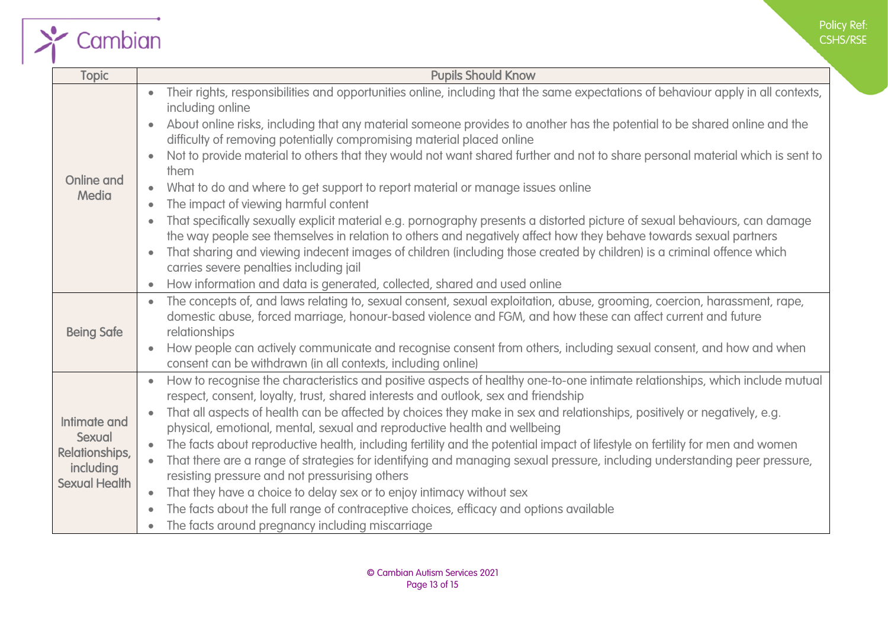

|                                                                               | Pq                                                                                                                                                                                                                                                                                                                                                                                                                                                                                                                                                                                                                                                                                                                                                                                                                                                                                                                                                                                                                                                                                                                                    |
|-------------------------------------------------------------------------------|---------------------------------------------------------------------------------------------------------------------------------------------------------------------------------------------------------------------------------------------------------------------------------------------------------------------------------------------------------------------------------------------------------------------------------------------------------------------------------------------------------------------------------------------------------------------------------------------------------------------------------------------------------------------------------------------------------------------------------------------------------------------------------------------------------------------------------------------------------------------------------------------------------------------------------------------------------------------------------------------------------------------------------------------------------------------------------------------------------------------------------------|
| Cambian                                                                       | CS                                                                                                                                                                                                                                                                                                                                                                                                                                                                                                                                                                                                                                                                                                                                                                                                                                                                                                                                                                                                                                                                                                                                    |
| <b>Topic</b>                                                                  | <b>Pupils Should Know</b>                                                                                                                                                                                                                                                                                                                                                                                                                                                                                                                                                                                                                                                                                                                                                                                                                                                                                                                                                                                                                                                                                                             |
| <b>Online and</b><br>Media                                                    | Their rights, responsibilities and opportunities online, including that the same expectations of behaviour apply in all contexts,<br>including online<br>About online risks, including that any material someone provides to another has the potential to be shared online and the<br>difficulty of removing potentially compromising material placed online<br>Not to provide material to others that they would not want shared further and not to share personal material which is sent to<br>them<br>What to do and where to get support to report material or manage issues online<br>The impact of viewing harmful content<br>That specifically sexually explicit material e.g. pornography presents a distorted picture of sexual behaviours, can damage<br>the way people see themselves in relation to others and negatively affect how they behave towards sexual partners<br>That sharing and viewing indecent images of children (including those created by children) is a criminal offence which<br>carries severe penalties including jail<br>How information and data is generated, collected, shared and used online |
| <b>Being Safe</b>                                                             | The concepts of, and laws relating to, sexual consent, sexual exploitation, abuse, grooming, coercion, harassment, rape,<br>domestic abuse, forced marriage, honour-based violence and FGM, and how these can affect current and future<br>relationships<br>How people can actively communicate and recognise consent from others, including sexual consent, and how and when<br>consent can be withdrawn (in all contexts, including online)                                                                                                                                                                                                                                                                                                                                                                                                                                                                                                                                                                                                                                                                                         |
| Intimate and<br>Sexual<br>Relationships,<br>including<br><b>Sexual Health</b> | How to recognise the characteristics and positive aspects of healthy one-to-one intimate relationships, which include mutual<br>respect, consent, loyalty, trust, shared interests and outlook, sex and friendship<br>That all aspects of health can be affected by choices they make in sex and relationships, positively or negatively, e.g.<br>$\bullet$<br>physical, emotional, mental, sexual and reproductive health and wellbeing<br>The facts about reproductive health, including fertility and the potential impact of lifestyle on fertility for men and women<br>That there are a range of strategies for identifying and managing sexual pressure, including understanding peer pressure,<br>resisting pressure and not pressurising others<br>That they have a choice to delay sex or to enjoy intimacy without sex<br>$\bullet$<br>The facts about the full range of contraceptive choices, efficacy and options available<br>The facts around pregnancy including miscarriage                                                                                                                                         |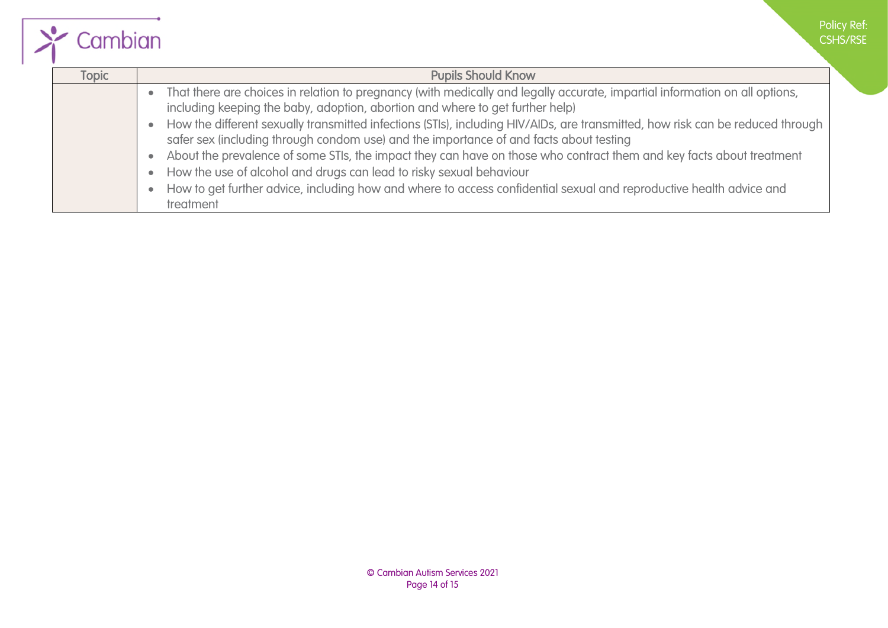

Policy Ref: